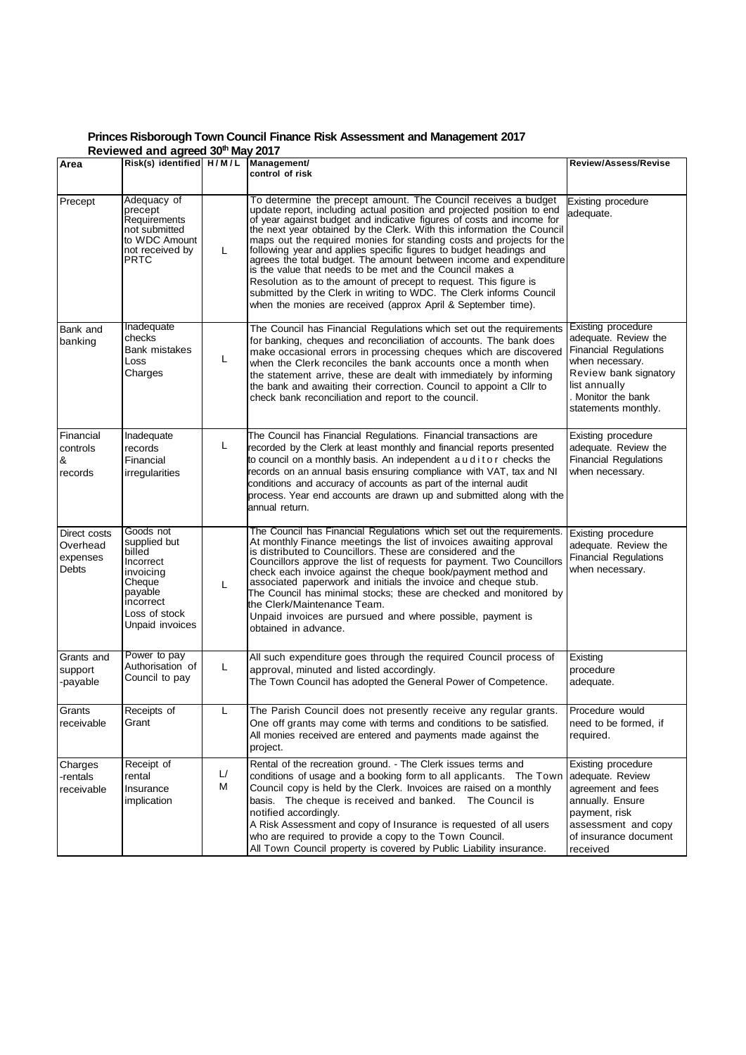## **Princes Risborough Town Council Finance Risk Assessment and Management 2017**

| Reviewed and agreed 30th May 2017             |                                                                                                                                     |                        |                                                                                                                                                                                                                                                                                                                                                                                                                                                                                                                                                                                                                                                                                                                                                                                           |                                                                                                                                                                                             |  |  |  |
|-----------------------------------------------|-------------------------------------------------------------------------------------------------------------------------------------|------------------------|-------------------------------------------------------------------------------------------------------------------------------------------------------------------------------------------------------------------------------------------------------------------------------------------------------------------------------------------------------------------------------------------------------------------------------------------------------------------------------------------------------------------------------------------------------------------------------------------------------------------------------------------------------------------------------------------------------------------------------------------------------------------------------------------|---------------------------------------------------------------------------------------------------------------------------------------------------------------------------------------------|--|--|--|
| Area                                          | Risk(s) identified H/M/L                                                                                                            |                        | Management/<br>control of risk                                                                                                                                                                                                                                                                                                                                                                                                                                                                                                                                                                                                                                                                                                                                                            | <b>Review/Assess/Revise</b>                                                                                                                                                                 |  |  |  |
| Precept                                       | Adequacy of<br>precept<br>Requirements<br>not submitted<br>to WDC Amount<br>not received by<br>PRTC                                 | L                      | To determine the precept amount. The Council receives a budget<br>update report, including actual position and projected position to end<br>of year against budget and indicative figures of costs and income for<br>the next year obtained by the Clerk. With this information the Council<br>maps out the required monies for standing costs and projects for the<br>following year and applies specific figures to budget headings and<br>agrees the total budget. The amount between income and expenditure<br>is the value that needs to be met and the Council makes a<br>Resolution as to the amount of precept to request. This figure is<br>submitted by the Clerk in writing to WDC. The Clerk informs Council<br>when the monies are received (approx April & September time). | Existing procedure<br>adequate.                                                                                                                                                             |  |  |  |
| Bank and<br>banking                           | Inadequate<br>checks<br>Bank mistakes<br>Loss<br>Charges                                                                            | L                      | The Council has Financial Regulations which set out the requirements<br>for banking, cheques and reconciliation of accounts. The bank does<br>make occasional errors in processing cheques which are discovered<br>when the Clerk reconciles the bank accounts once a month when<br>the statement arrive, these are dealt with immediately by informing<br>the bank and awaiting their correction. Council to appoint a Cllr to<br>check bank reconciliation and report to the council.                                                                                                                                                                                                                                                                                                   | <b>Existing procedure</b><br>adequate. Review the<br><b>Financial Regulations</b><br>when necessary.<br>Review bank signatory<br>list annually<br>. Monitor the bank<br>statements monthly. |  |  |  |
| Financial<br>controls<br>&<br>records         | Inadequate<br>records<br>Financial<br>irregularities                                                                                | L                      | The Council has Financial Regulations. Financial transactions are<br>recorded by the Clerk at least monthly and financial reports presented<br>to council on a monthly basis. An independent auditor checks the<br>records on an annual basis ensuring compliance with VAT, tax and NI<br>conditions and accuracy of accounts as part of the internal audit<br>process. Year end accounts are drawn up and submitted along with the<br>annual return.                                                                                                                                                                                                                                                                                                                                     | Existing procedure<br>adequate. Review the<br><b>Financial Regulations</b><br>when necessary.                                                                                               |  |  |  |
| Direct costs<br>Overhead<br>expenses<br>Debts | Goods not<br>supplied but<br>billed<br>Incorrect<br>invoicing<br>Cheque<br>payable<br>incorrect<br>Loss of stock<br>Unpaid invoices | L                      | The Council has Financial Regulations which set out the requirements.<br>At monthly Finance meetings the list of invoices awaiting approval<br>is distributed to Councillors. These are considered and the<br>Councillors approve the list of requests for payment. Two Councillors<br>check each invoice against the cheque book/payment method and<br>associated paperwork and initials the invoice and cheque stub.<br>The Council has minimal stocks; these are checked and monitored by<br>the Clerk/Maintenance Team.<br>Unpaid invoices are pursued and where possible, payment is<br>obtained in advance.                                                                                                                                                                         | Existing procedure<br>adequate. Review the<br><b>Financial Regulations</b><br>when necessary.                                                                                               |  |  |  |
| Grants and<br>support<br>-payable             | Power to pay<br>Authorisation of<br>Council to pay                                                                                  | L                      | All such expenditure goes through the required Council process of<br>approval, minuted and listed accordingly.<br>The Town Council has adopted the General Power of Competence.                                                                                                                                                                                                                                                                                                                                                                                                                                                                                                                                                                                                           | Existing<br>procedure<br>adequate.                                                                                                                                                          |  |  |  |
| Grants<br>receivable                          | Receipts of<br>Grant                                                                                                                | L                      | The Parish Council does not presently receive any regular grants.<br>One off grants may come with terms and conditions to be satisfied.<br>All monies received are entered and payments made against the<br>project.                                                                                                                                                                                                                                                                                                                                                                                                                                                                                                                                                                      | Procedure would<br>need to be formed, if<br>required.                                                                                                                                       |  |  |  |
| Charges<br>-rentals<br>receivable             | Receipt of<br>rental<br>Insurance<br>implication                                                                                    | $\mathsf{L}/\!\!$<br>М | Rental of the recreation ground. - The Clerk issues terms and<br>conditions of usage and a booking form to all applicants. The Town<br>Council copy is held by the Clerk. Invoices are raised on a monthly<br>basis. The cheque is received and banked. The Council is<br>notified accordingly.<br>A Risk Assessment and copy of Insurance is requested of all users<br>who are required to provide a copy to the Town Council.<br>All Town Council property is covered by Public Liability insurance.                                                                                                                                                                                                                                                                                    | Existing procedure<br>adequate. Review<br>agreement and fees<br>annually. Ensure<br>payment, risk<br>assessment and copy<br>of insurance document<br>received                               |  |  |  |